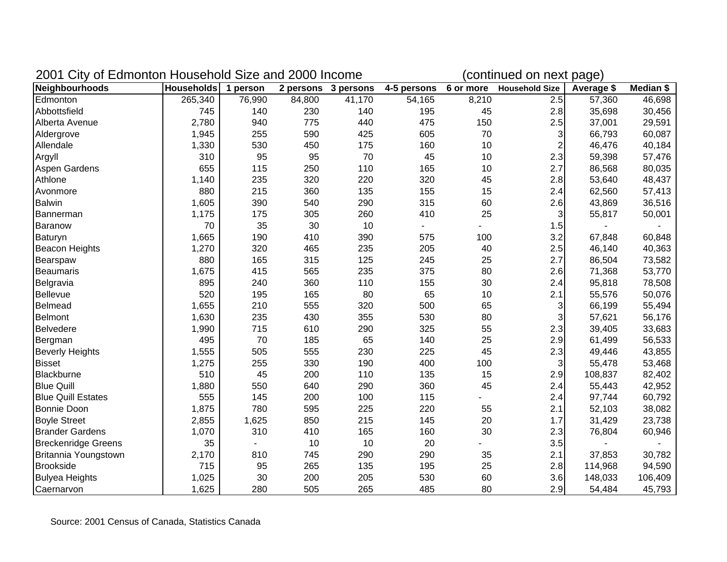| 2001 City of Edmonton Household Size and 2000 Income |                     |        |        |                     | (continued on next page) |       |                          |            |           |
|------------------------------------------------------|---------------------|--------|--------|---------------------|--------------------------|-------|--------------------------|------------|-----------|
| Neighbourhoods                                       | Households 1 person |        |        | 2 persons 3 persons | 4-5 persons              |       | 6 or more Household Size | Average \$ | Median \$ |
| Edmonton                                             | 265,340             | 76,990 | 84,800 | 41,170              | 54,165                   | 8,210 | 2.5                      | 57,360     | 46,698    |
| Abbottsfield                                         | 745                 | 140    | 230    | 140                 | 195                      | 45    | 2.8                      | 35,698     | 30,456    |
| Alberta Avenue                                       | 2,780               | 940    | 775    | 440                 | 475                      | 150   | 2.5                      | 37,001     | 29,591    |
| Aldergrove                                           | 1,945               | 255    | 590    | 425                 | 605                      | 70    | 3                        | 66,793     | 60,087    |
| Allendale                                            | 1,330               | 530    | 450    | 175                 | 160                      | 10    | $\overline{2}$           | 46,476     | 40,184    |
| Argyll                                               | 310                 | 95     | 95     | 70                  | 45                       | 10    | 2.3                      | 59,398     | 57,476    |
| <b>Aspen Gardens</b>                                 | 655                 | 115    | 250    | 110                 | 165                      | 10    | 2.7                      | 86,568     | 80,035    |
| Athlone                                              | 1,140               | 235    | 320    | 220                 | 320                      | 45    | 2.8                      | 53,640     | 48,437    |
| Avonmore                                             | 880                 | 215    | 360    | 135                 | 155                      | 15    | 2.4                      | 62,560     | 57,413    |
| <b>Balwin</b>                                        | 1,605               | 390    | 540    | 290                 | 315                      | 60    | 2.6                      | 43,869     | 36,516    |
| Bannerman                                            | 1,175               | 175    | 305    | 260                 | 410                      | 25    | $\overline{3}$           | 55,817     | 50,001    |
| Baranow                                              | 70                  | 35     | 30     | 10                  | $\blacksquare$           |       | 1.5                      |            |           |
| Baturyn                                              | 1,665               | 190    | 410    | 390                 | 575                      | 100   | 3.2                      | 67,848     | 60,848    |
| Beacon Heights                                       | 1,270               | 320    | 465    | 235                 | 205                      | 40    | 2.5                      | 46,140     | 40,363    |
| Bearspaw                                             | 880                 | 165    | 315    | 125                 | 245                      | 25    | 2.7                      | 86,504     | 73,582    |
| Beaumaris                                            | 1,675               | 415    | 565    | 235                 | 375                      | 80    | 2.6                      | 71,368     | 53,770    |
| Belgravia                                            | 895                 | 240    | 360    | 110                 | 155                      | 30    | 2.4                      | 95,818     | 78,508    |
| Bellevue                                             | 520                 | 195    | 165    | 80                  | 65                       | 10    | 2.1                      | 55,576     | 50,076    |
| Belmead                                              | 1,655               | 210    | 555    | 320                 | 500                      | 65    | 3                        | 66,199     | 55,494    |
| Belmont                                              | 1,630               | 235    | 430    | 355                 | 530                      | 80    | 3                        | 57,621     | 56,176    |
| <b>Belvedere</b>                                     | 1,990               | 715    | 610    | 290                 | 325                      | 55    | 2.3                      | 39,405     | 33,683    |
| Bergman                                              | 495                 | 70     | 185    | 65                  | 140                      | 25    | 2.9                      | 61,499     | 56,533    |
| <b>Beverly Heights</b>                               | 1,555               | 505    | 555    | 230                 | 225                      | 45    | 2.3                      | 49,446     | 43,855    |
| <b>Bisset</b>                                        | 1,275               | 255    | 330    | 190                 | 400                      | 100   | 3                        | 55,478     | 53,468    |
| Blackburne                                           | 510                 | 45     | 200    | 110                 | 135                      | 15    | 2.9                      | 108,837    | 82,402    |
| <b>Blue Quill</b>                                    | 1,880               | 550    | 640    | 290                 | 360                      | 45    | 2.4                      | 55,443     | 42,952    |
| <b>Blue Quill Estates</b>                            | 555                 | 145    | 200    | 100                 | 115                      |       | 2.4                      | 97,744     | 60,792    |
| <b>Bonnie Doon</b>                                   | 1,875               | 780    | 595    | 225                 | 220                      | 55    | 2.1                      | 52,103     | 38,082    |
| <b>Boyle Street</b>                                  | 2,855               | 1,625  | 850    | 215                 | 145                      | 20    | 1.7                      | 31,429     | 23,738    |
| <b>Brander Gardens</b>                               | 1,070               | 310    | 410    | 165                 | 160                      | 30    | 2.3                      | 76,804     | 60,946    |
| <b>Breckenridge Greens</b>                           | 35                  |        | 10     | 10                  | 20                       |       | 3.5                      |            |           |
| Britannia Youngstown                                 | 2,170               | 810    | 745    | 290                 | 290                      | 35    | 2.1                      | 37,853     | 30,782    |
| <b>Brookside</b>                                     | 715                 | 95     | 265    | 135                 | 195                      | 25    | 2.8                      | 114,968    | 94,590    |
| <b>Bulyea Heights</b>                                | 1,025               | 30     | 200    | 205                 | 530                      | 60    | 3.6                      | 148,033    | 106,409   |
| Caernarvon                                           | 1,625               | 280    | 505    | 265                 | 485                      | 80    | 2.9                      | 54,484     | 45,793    |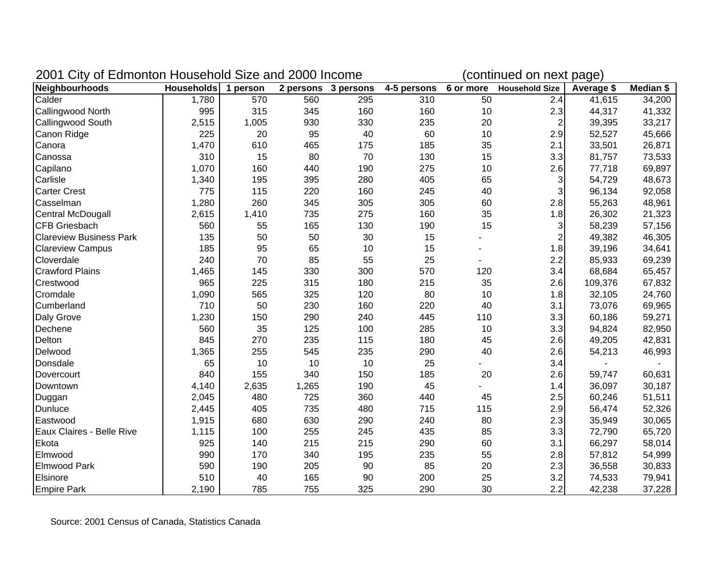| 2001 City of Edmonton Household Size and 2000 Income |                   |          |       |                     | (continued on next page) |           |                       |            |           |
|------------------------------------------------------|-------------------|----------|-------|---------------------|--------------------------|-----------|-----------------------|------------|-----------|
| Neighbourhoods                                       | <b>Households</b> | 1 person |       | 2 persons 3 persons | 4-5 persons              | 6 or more | <b>Household Size</b> | Average \$ | Median \$ |
| Calder                                               | 1,780             | 570      | 560   | 295                 | 310                      | 50        | 2.4                   | 41,615     | 34,200    |
| <b>Callingwood North</b>                             | 995               | 315      | 345   | 160                 | 160                      | 10        | 2.3                   | 44,317     | 41,332    |
| Callingwood South                                    | 2,515             | 1,005    | 930   | 330                 | 235                      | 20        | $\overline{2}$        | 39,395     | 33,217    |
| Canon Ridge                                          | 225               | 20       | 95    | 40                  | 60                       | 10        | 2.9                   | 52,527     | 45,666    |
| Canora                                               | 1,470             | 610      | 465   | 175                 | 185                      | 35        | 2.1                   | 33,501     | 26,871    |
| Canossa                                              | 310               | 15       | 80    | 70                  | 130                      | 15        | 3.3                   | 81,757     | 73,533    |
| Capilano                                             | 1,070             | 160      | 440   | 190                 | 275                      | 10        | 2.6                   | 77,718     | 69,897    |
| Carlisle                                             | 1,340             | 195      | 395   | 280                 | 405                      | 65        | 3                     | 54,729     | 48,673    |
| <b>Carter Crest</b>                                  | 775               | 115      | 220   | 160                 | 245                      | 40        | 3                     | 96,134     | 92,058    |
| Casselman                                            | 1,280             | 260      | 345   | 305                 | 305                      | 60        | 2.8                   | 55,263     | 48,961    |
| Central McDougall                                    | 2,615             | 1,410    | 735   | 275                 | 160                      | 35        | 1.8                   | 26,302     | 21,323    |
| <b>CFB Griesbach</b>                                 | 560               | 55       | 165   | 130                 | 190                      | 15        | 3                     | 58,239     | 57,156    |
| <b>Clareview Business Park</b>                       | 135               | 50       | 50    | 30                  | 15                       |           | $\overline{2}$        | 49,382     | 46,305    |
| <b>Clareview Campus</b>                              | 185               | 95       | 65    | 10                  | 15                       |           | 1.8                   | 39,196     | 34,641    |
| Cloverdale                                           | 240               | 70       | 85    | 55                  | 25                       |           | 2.2                   | 85,933     | 69,239    |
| <b>Crawford Plains</b>                               | 1,465             | 145      | 330   | 300                 | 570                      | 120       | 3.4                   | 68,684     | 65,457    |
| Crestwood                                            | 965               | 225      | 315   | 180                 | 215                      | 35        | 2.6                   | 109,376    | 67,832    |
| Cromdale                                             | 1,090             | 565      | 325   | 120                 | 80                       | 10        | 1.8                   | 32,105     | 24,760    |
| Cumberland                                           | 710               | 50       | 230   | 160                 | 220                      | 40        | 3.1                   | 73,076     | 69,965    |
| Daly Grove                                           | 1,230             | 150      | 290   | 240                 | 445                      | 110       | 3.3                   | 60,186     | 59,271    |
| Dechene                                              | 560               | 35       | 125   | 100                 | 285                      | 10        | 3.3                   | 94,824     | 82,950    |
| Delton                                               | 845               | 270      | 235   | 115                 | 180                      | 45        | 2.6                   | 49,205     | 42,831    |
| Delwood                                              | 1,365             | 255      | 545   | 235                 | 290                      | 40        | 2.6                   | 54,213     | 46,993    |
| Donsdale                                             | 65                | 10       | 10    | 10                  | 25                       |           | 3.4                   |            |           |
| Dovercourt                                           | 840               | 155      | 340   | 150                 | 185                      | 20        | 2.6                   | 59,747     | 60,631    |
| Downtown                                             | 4,140             | 2,635    | 1,265 | 190                 | 45                       |           | 1.4                   | 36,097     | 30,187    |
| Duggan                                               | 2,045             | 480      | 725   | 360                 | 440                      | 45        | 2.5                   | 60,246     | 51,511    |
| <b>Dunluce</b>                                       | 2,445             | 405      | 735   | 480                 | 715                      | 115       | 2.9                   | 56,474     | 52,326    |
| Eastwood                                             | 1,915             | 680      | 630   | 290                 | 240                      | 80        | 2.3                   | 35,949     | 30,065    |
| Eaux Claires - Belle Rive                            | 1,115             | 100      | 255   | 245                 | 435                      | 85        | 3.3                   | 72,790     | 65,720    |
| Ekota                                                | 925               | 140      | 215   | 215                 | 290                      | 60        | 3.1                   | 66,297     | 58,014    |
| Elmwood                                              | 990               | 170      | 340   | 195                 | 235                      | 55        | 2.8                   | 57,812     | 54,999    |
| <b>Elmwood Park</b>                                  | 590               | 190      | 205   | 90                  | 85                       | 20        | 2.3                   | 36,558     | 30,833    |
| Elsinore                                             | 510               | 40       | 165   | 90                  | 200                      | 25        | 3.2                   | 74,533     | 79,941    |
| <b>Empire Park</b>                                   | 2,190             | 785      | 755   | 325                 | 290                      | 30        | 2.2                   | 42,238     | 37,228    |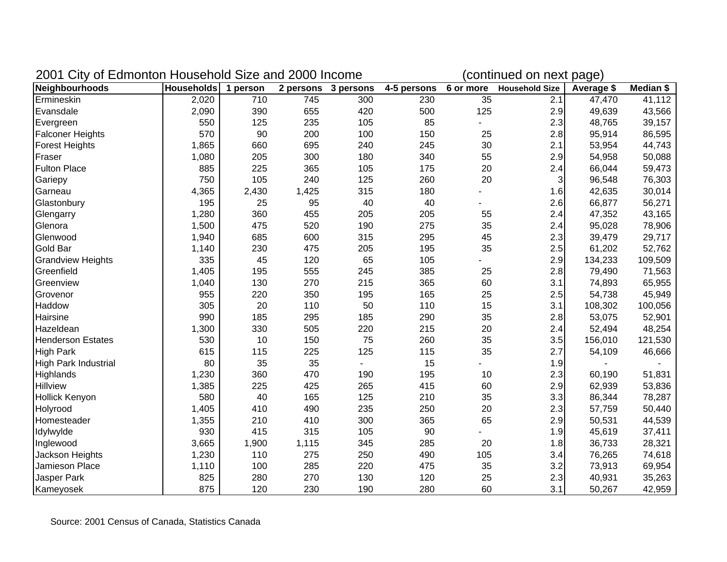| 2001 City of Edmonton Household Size and 2000 Income |                   |          |       |                     | (continued on next page) |                 |                       |            |           |
|------------------------------------------------------|-------------------|----------|-------|---------------------|--------------------------|-----------------|-----------------------|------------|-----------|
| Neighbourhoods                                       | <b>Households</b> | 1 person |       | 2 persons 3 persons | 4-5 persons              | 6 or more       | <b>Household Size</b> | Average \$ | Median \$ |
| Ermineskin                                           | 2,020             | 710      | 745   | 300                 | 230                      | $\overline{35}$ | 2.1                   | 47,470     | 41,112    |
| Evansdale                                            | 2,090             | 390      | 655   | 420                 | 500                      | 125             | 2.9                   | 49,639     | 43,566    |
| Evergreen                                            | 550               | 125      | 235   | 105                 | 85                       |                 | 2.3                   | 48,765     | 39,157    |
| <b>Falconer Heights</b>                              | 570               | 90       | 200   | 100                 | 150                      | 25              | 2.8                   | 95,914     | 86,595    |
| <b>Forest Heights</b>                                | 1,865             | 660      | 695   | 240                 | 245                      | 30              | 2.1                   | 53,954     | 44,743    |
| Fraser                                               | 1,080             | 205      | 300   | 180                 | 340                      | 55              | 2.9                   | 54,958     | 50,088    |
| <b>Fulton Place</b>                                  | 885               | 225      | 365   | 105                 | 175                      | 20              | 2.4                   | 66,044     | 59,473    |
| Gariepy                                              | 750               | 105      | 240   | 125                 | 260                      | 20              | 3                     | 96,548     | 76,303    |
| Garneau                                              | 4,365             | 2,430    | 1,425 | 315                 | 180                      |                 | 1.6                   | 42,635     | 30,014    |
| Glastonbury                                          | 195               | 25       | 95    | 40                  | 40                       |                 | 2.6                   | 66,877     | 56,271    |
| Glengarry                                            | 1,280             | 360      | 455   | 205                 | 205                      | 55              | 2.4                   | 47,352     | 43,165    |
| Glenora                                              | 1,500             | 475      | 520   | 190                 | 275                      | 35              | 2.4                   | 95,028     | 78,906    |
| Glenwood                                             | 1,940             | 685      | 600   | 315                 | 295                      | 45              | 2.3                   | 39,479     | 29,717    |
| Gold Bar                                             | 1,140             | 230      | 475   | 205                 | 195                      | 35              | 2.5                   | 61,202     | 52,762    |
| <b>Grandview Heights</b>                             | 335               | 45       | 120   | 65                  | 105                      |                 | 2.9                   | 134,233    | 109,509   |
| Greenfield                                           | 1,405             | 195      | 555   | 245                 | 385                      | 25              | 2.8                   | 79,490     | 71,563    |
| Greenview                                            | 1,040             | 130      | 270   | 215                 | 365                      | 60              | 3.1                   | 74,893     | 65,955    |
| Grovenor                                             | 955               | 220      | 350   | 195                 | 165                      | 25              | 2.5                   | 54,738     | 45,949    |
| Haddow                                               | 305               | 20       | 110   | 50                  | 110                      | 15              | 3.1                   | 108,302    | 100,056   |
| Hairsine                                             | 990               | 185      | 295   | 185                 | 290                      | 35              | 2.8                   | 53,075     | 52,901    |
| Hazeldean                                            | 1,300             | 330      | 505   | 220                 | 215                      | 20              | 2.4                   | 52,494     | 48,254    |
| <b>Henderson Estates</b>                             | 530               | 10       | 150   | 75                  | 260                      | 35              | 3.5                   | 156,010    | 121,530   |
| <b>High Park</b>                                     | 615               | 115      | 225   | 125                 | 115                      | 35              | 2.7                   | 54,109     | 46,666    |
| <b>High Park Industrial</b>                          | 80                | 35       | 35    |                     | 15                       |                 | 1.9                   |            |           |
| Highlands                                            | 1,230             | 360      | 470   | 190                 | 195                      | 10              | 2.3                   | 60,190     | 51,831    |
| <b>Hillview</b>                                      | 1,385             | 225      | 425   | 265                 | 415                      | 60              | 2.9                   | 62,939     | 53,836    |
| <b>Hollick Kenyon</b>                                | 580               | 40       | 165   | 125                 | 210                      | 35              | 3.3                   | 86,344     | 78,287    |
| Holyrood                                             | 1,405             | 410      | 490   | 235                 | 250                      | 20              | 2.3                   | 57,759     | 50,440    |
| Homesteader                                          | 1,355             | 210      | 410   | 300                 | 365                      | 65              | 2.9                   | 50,531     | 44,539    |
| Idylwylde                                            | 930               | 415      | 315   | 105                 | 90                       |                 | 1.9                   | 45,619     | 37,411    |
| Inglewood                                            | 3,665             | 1,900    | 1,115 | 345                 | 285                      | 20              | 1.8                   | 36,733     | 28,321    |
| Jackson Heights                                      | 1,230             | 110      | 275   | 250                 | 490                      | 105             | 3.4                   | 76,265     | 74,618    |
| Jamieson Place                                       | 1,110             | 100      | 285   | 220                 | 475                      | 35              | 3.2                   | 73,913     | 69,954    |
| Jasper Park                                          | 825               | 280      | 270   | 130                 | 120                      | 25              | 2.3                   | 40,931     | 35,263    |
| Kameyosek                                            | 875               | 120      | 230   | 190                 | 280                      | 60              | 3.1                   | 50,267     | 42,959    |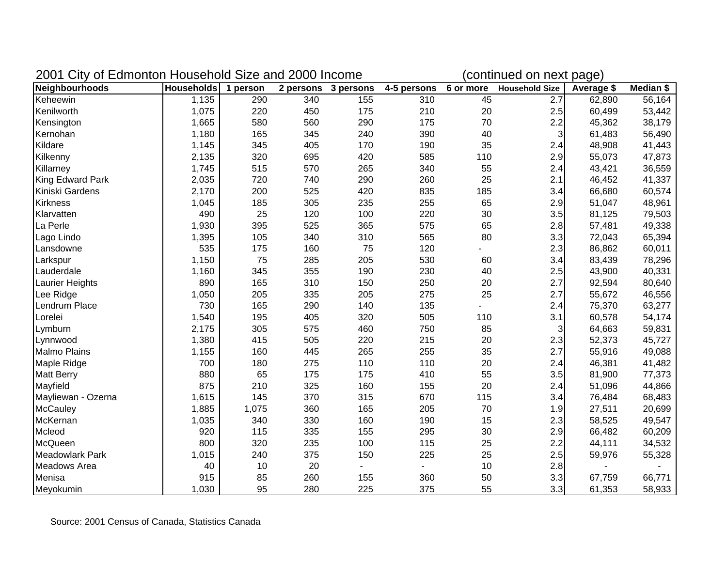| 2001 City of Edmonton Household Size and 2000 Income |                   |          |     |                     | (continued on next page) |           |                       |            |           |
|------------------------------------------------------|-------------------|----------|-----|---------------------|--------------------------|-----------|-----------------------|------------|-----------|
| Neighbourhoods                                       | <b>Households</b> | 1 person |     | 2 persons 3 persons | 4-5 persons              | 6 or more | <b>Household Size</b> | Average \$ | Median \$ |
| Keheewin                                             | 1,135             | 290      | 340 | 155                 | 310                      | 45        | 2.7                   | 62,890     | 56,164    |
| Kenilworth                                           | 1,075             | 220      | 450 | 175                 | 210                      | 20        | 2.5                   | 60,499     | 53,442    |
| Kensington                                           | 1,665             | 580      | 560 | 290                 | 175                      | 70        | 2.2                   | 45,362     | 38,179    |
| Kernohan                                             | 1,180             | 165      | 345 | 240                 | 390                      | 40        | $\overline{3}$        | 61,483     | 56,490    |
| Kildare                                              | 1,145             | 345      | 405 | 170                 | 190                      | 35        | 2.4                   | 48,908     | 41,443    |
| Kilkenny                                             | 2,135             | 320      | 695 | 420                 | 585                      | 110       | 2.9                   | 55,073     | 47,873    |
| Killarney                                            | 1,745             | 515      | 570 | 265                 | 340                      | 55        | 2.4                   | 43,421     | 36,559    |
| King Edward Park                                     | 2,035             | 720      | 740 | 290                 | 260                      | 25        | 2.1                   | 46,452     | 41,337    |
| Kiniski Gardens                                      | 2,170             | 200      | 525 | 420                 | 835                      | 185       | 3.4                   | 66,680     | 60,574    |
| <b>Kirkness</b>                                      | 1,045             | 185      | 305 | 235                 | 255                      | 65        | 2.9                   | 51,047     | 48,961    |
| Klarvatten                                           | 490               | 25       | 120 | 100                 | 220                      | 30        | 3.5                   | 81,125     | 79,503    |
| La Perle                                             | 1,930             | 395      | 525 | 365                 | 575                      | 65        | 2.8                   | 57,481     | 49,338    |
| Lago Lindo                                           | 1,395             | 105      | 340 | 310                 | 565                      | 80        | 3.3                   | 72,043     | 65,394    |
| Lansdowne                                            | 535               | 175      | 160 | 75                  | 120                      |           | 2.3                   | 86,862     | 60,011    |
| Larkspur                                             | 1,150             | 75       | 285 | 205                 | 530                      | 60        | 3.4                   | 83,439     | 78,296    |
| Lauderdale                                           | 1,160             | 345      | 355 | 190                 | 230                      | 40        | 2.5                   | 43,900     | 40,331    |
| Laurier Heights                                      | 890               | 165      | 310 | 150                 | 250                      | 20        | 2.7                   | 92,594     | 80,640    |
| Lee Ridge                                            | 1,050             | 205      | 335 | 205                 | 275                      | 25        | 2.7                   | 55,672     | 46,556    |
| Lendrum Place                                        | 730               | 165      | 290 | 140                 | 135                      |           | 2.4                   | 75,370     | 63,277    |
| Lorelei                                              | 1,540             | 195      | 405 | 320                 | 505                      | 110       | 3.1                   | 60,578     | 54,174    |
| Lymburn                                              | 2,175             | 305      | 575 | 460                 | 750                      | 85        | $\overline{3}$        | 64,663     | 59,831    |
| Lynnwood                                             | 1,380             | 415      | 505 | 220                 | 215                      | 20        | 2.3                   | 52,373     | 45,727    |
| <b>Malmo Plains</b>                                  | 1,155             | 160      | 445 | 265                 | 255                      | 35        | 2.7                   | 55,916     | 49,088    |
| Maple Ridge                                          | 700               | 180      | 275 | 110                 | 110                      | 20        | 2.4                   | 46,381     | 41,482    |
| <b>Matt Berry</b>                                    | 880               | 65       | 175 | 175                 | 410                      | 55        | 3.5                   | 81,900     | 77,373    |
| Mayfield                                             | 875               | 210      | 325 | 160                 | 155                      | 20        | 2.4                   | 51,096     | 44,866    |
| Mayliewan - Ozerna                                   | 1,615             | 145      | 370 | 315                 | 670                      | 115       | 3.4                   | 76,484     | 68,483    |
| <b>McCauley</b>                                      | 1,885             | 1,075    | 360 | 165                 | 205                      | 70        | 1.9                   | 27,511     | 20,699    |
| McKernan                                             | 1,035             | 340      | 330 | 160                 | 190                      | 15        | 2.3                   | 58,525     | 49,547    |
| Mcleod                                               | 920               | 115      | 335 | 155                 | 295                      | 30        | 2.9                   | 66,482     | 60,209    |
| McQueen                                              | 800               | 320      | 235 | 100                 | 115                      | 25        | 2.2                   | 44,111     | 34,532    |
| Meadowlark Park                                      | 1,015             | 240      | 375 | 150                 | 225                      | 25        | 2.5                   | 59,976     | 55,328    |
| <b>Meadows Area</b>                                  | 40                | 10       | 20  |                     |                          | 10        | 2.8                   |            |           |
| Menisa                                               | 915               | 85       | 260 | 155                 | 360                      | 50        | 3.3                   | 67,759     | 66,771    |
| Meyokumin                                            | 1,030             | 95       | 280 | 225                 | 375                      | 55        | 3.3                   | 61,353     | 58,933    |

Source: 2001 Census of Canada, Statistics Canada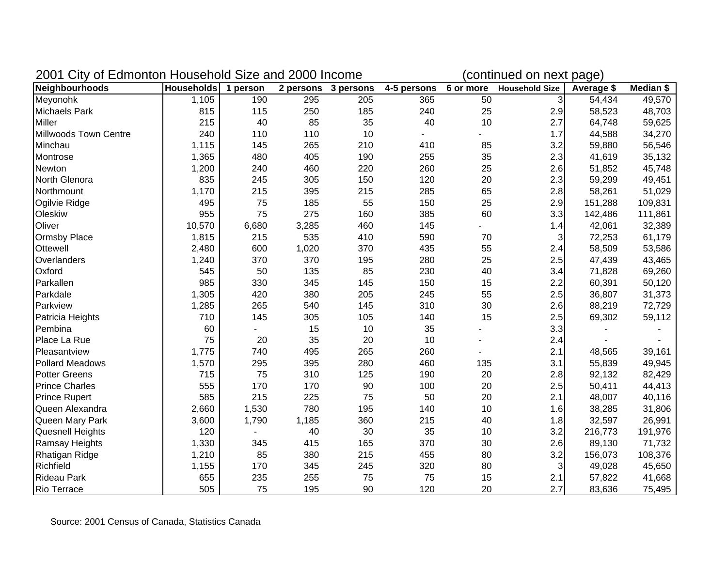| 2001 City of Edmonton Household Size and 2000 Income |                     |       |       |                     | (continued on next page) |     |                          |            |           |
|------------------------------------------------------|---------------------|-------|-------|---------------------|--------------------------|-----|--------------------------|------------|-----------|
| Neighbourhoods                                       | Households 1 person |       |       | 2 persons 3 persons | 4-5 persons              |     | 6 or more Household Size | Average \$ | Median \$ |
| Meyonohk                                             | 1,105               | 190   | 295   | 205                 | 365                      | 50  | $\overline{3}$           | 54,434     | 49,570    |
| <b>Michaels Park</b>                                 | 815                 | 115   | 250   | 185                 | 240                      | 25  | 2.9                      | 58,523     | 48,703    |
| <b>Miller</b>                                        | 215                 | 40    | 85    | 35                  | 40                       | 10  | 2.7                      | 64,748     | 59,625    |
| Millwoods Town Centre                                | 240                 | 110   | 110   | 10                  |                          |     | 1.7                      | 44,588     | 34,270    |
| Minchau                                              | 1,115               | 145   | 265   | 210                 | 410                      | 85  | 3.2                      | 59,880     | 56,546    |
| Montrose                                             | 1,365               | 480   | 405   | 190                 | 255                      | 35  | 2.3                      | 41,619     | 35,132    |
| Newton                                               | 1,200               | 240   | 460   | 220                 | 260                      | 25  | 2.6                      | 51,852     | 45,748    |
| North Glenora                                        | 835                 | 245   | 305   | 150                 | 120                      | 20  | 2.3                      | 59,299     | 49,451    |
| Northmount                                           | 1,170               | 215   | 395   | 215                 | 285                      | 65  | 2.8                      | 58,261     | 51,029    |
| Ogilvie Ridge                                        | 495                 | 75    | 185   | 55                  | 150                      | 25  | 2.9                      | 151,288    | 109,831   |
| Oleskiw                                              | 955                 | 75    | 275   | 160                 | 385                      | 60  | 3.3                      | 142,486    | 111,861   |
| Oliver                                               | 10,570              | 6,680 | 3,285 | 460                 | 145                      |     | 1.4                      | 42,061     | 32,389    |
| Ormsby Place                                         | 1,815               | 215   | 535   | 410                 | 590                      | 70  | $\overline{3}$           | 72,253     | 61,179    |
| Ottewell                                             | 2,480               | 600   | 1,020 | 370                 | 435                      | 55  | 2.4                      | 58,509     | 53,586    |
| Overlanders                                          | 1,240               | 370   | 370   | 195                 | 280                      | 25  | 2.5                      | 47,439     | 43,465    |
| Oxford                                               | 545                 | 50    | 135   | 85                  | 230                      | 40  | 3.4                      | 71,828     | 69,260    |
| Parkallen                                            | 985                 | 330   | 345   | 145                 | 150                      | 15  | 2.2                      | 60,391     | 50,120    |
| Parkdale                                             | 1,305               | 420   | 380   | 205                 | 245                      | 55  | 2.5                      | 36,807     | 31,373    |
| Parkview                                             | 1,285               | 265   | 540   | 145                 | 310                      | 30  | 2.6                      | 88,219     | 72,729    |
| Patricia Heights                                     | 710                 | 145   | 305   | 105                 | 140                      | 15  | 2.5                      | 69,302     | 59,112    |
| Pembina                                              | 60                  |       | 15    | 10                  | 35                       |     | 3.3                      |            |           |
| Place La Rue                                         | 75                  | 20    | 35    | 20                  | 10                       |     | 2.4                      |            |           |
| Pleasantview                                         | 1,775               | 740   | 495   | 265                 | 260                      |     | 2.1                      | 48,565     | 39,161    |
| <b>Pollard Meadows</b>                               | 1,570               | 295   | 395   | 280                 | 460                      | 135 | 3.1                      | 55,839     | 49,945    |
| <b>Potter Greens</b>                                 | 715                 | 75    | 310   | 125                 | 190                      | 20  | 2.8                      | 92,132     | 82,429    |
| <b>Prince Charles</b>                                | 555                 | 170   | 170   | 90                  | 100                      | 20  | 2.5                      | 50,411     | 44,413    |
| <b>Prince Rupert</b>                                 | 585                 | 215   | 225   | 75                  | 50                       | 20  | 2.1                      | 48,007     | 40,116    |
| Queen Alexandra                                      | 2,660               | 1,530 | 780   | 195                 | 140                      | 10  | 1.6                      | 38,285     | 31,806    |
| Queen Mary Park                                      | 3,600               | 1,790 | 1,185 | 360                 | 215                      | 40  | 1.8                      | 32,597     | 26,991    |
| <b>Quesnell Heights</b>                              | 120                 |       | 40    | 30                  | 35                       | 10  | 3.2                      | 216,773    | 191,976   |
| <b>Ramsay Heights</b>                                | 1,330               | 345   | 415   | 165                 | 370                      | 30  | 2.6                      | 89,130     | 71,732    |
| Rhatigan Ridge                                       | 1,210               | 85    | 380   | 215                 | 455                      | 80  | 3.2                      | 156,073    | 108,376   |
| Richfield                                            | 1,155               | 170   | 345   | 245                 | 320                      | 80  | $\overline{3}$           | 49,028     | 45,650    |
| <b>Rideau Park</b>                                   | 655                 | 235   | 255   | 75                  | 75                       | 15  | 2.1                      | 57,822     | 41,668    |
| <b>Rio Terrace</b>                                   | 505                 | 75    | 195   | 90                  | 120                      | 20  | 2.7                      | 83,636     | 75,495    |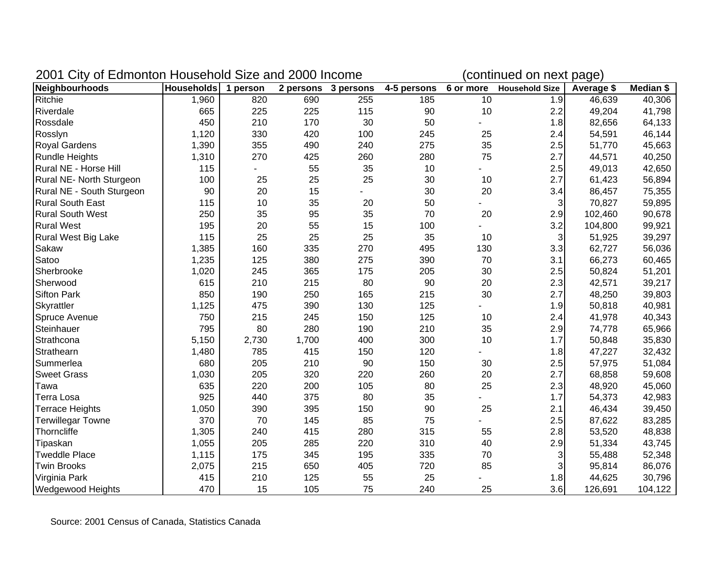| 2001 City of Edmonton Household Size and 2000 Income |                   |          |       |                     | (continued on next page) |           |                       |            |           |
|------------------------------------------------------|-------------------|----------|-------|---------------------|--------------------------|-----------|-----------------------|------------|-----------|
| Neighbourhoods                                       | <b>Households</b> | 1 person |       | 2 persons 3 persons | 4-5 persons              | 6 or more | <b>Household Size</b> | Average \$ | Median \$ |
| Ritchie                                              | 1,960             | 820      | 690   | 255                 | 185                      | 10        | 1.9                   | 46,639     | 40,306    |
| Riverdale                                            | 665               | 225      | 225   | 115                 | 90                       | 10        | 2.2                   | 49,204     | 41,798    |
| Rossdale                                             | 450               | 210      | 170   | 30                  | 50                       |           | 1.8                   | 82,656     | 64,133    |
| Rosslyn                                              | 1,120             | 330      | 420   | 100                 | 245                      | 25        | 2.4                   | 54,591     | 46,144    |
| <b>Royal Gardens</b>                                 | 1,390             | 355      | 490   | 240                 | 275                      | 35        | 2.5                   | 51,770     | 45,663    |
| <b>Rundle Heights</b>                                | 1,310             | 270      | 425   | 260                 | 280                      | 75        | 2.7                   | 44,571     | 40,250    |
| Rural NE - Horse Hill                                | 115               |          | 55    | 35                  | 10                       |           | 2.5                   | 49,013     | 42,650    |
| Rural NE- North Sturgeon                             | 100               | 25       | 25    | 25                  | 30                       | 10        | 2.7                   | 61,423     | 56,894    |
| Rural NE - South Sturgeon                            | 90                | 20       | 15    |                     | 30                       | 20        | 3.4                   | 86,457     | 75,355    |
| <b>Rural South East</b>                              | 115               | 10       | 35    | 20                  | 50                       |           | 3                     | 70,827     | 59,895    |
| <b>Rural South West</b>                              | 250               | 35       | 95    | 35                  | 70                       | 20        | 2.9                   | 102,460    | 90,678    |
| <b>Rural West</b>                                    | 195               | 20       | 55    | 15                  | 100                      |           | 3.2                   | 104,800    | 99,921    |
| Rural West Big Lake                                  | 115               | 25       | 25    | 25                  | 35                       | 10        | 3                     | 51,925     | 39,297    |
| Sakaw                                                | 1,385             | 160      | 335   | 270                 | 495                      | 130       | 3.3                   | 62,727     | 56,036    |
| Satoo                                                | 1,235             | 125      | 380   | 275                 | 390                      | 70        | 3.1                   | 66,273     | 60,465    |
| Sherbrooke                                           | 1,020             | 245      | 365   | 175                 | 205                      | 30        | 2.5                   | 50,824     | 51,201    |
| Sherwood                                             | 615               | 210      | 215   | 80                  | 90                       | 20        | 2.3                   | 42,571     | 39,217    |
| <b>Sifton Park</b>                                   | 850               | 190      | 250   | 165                 | 215                      | 30        | 2.7                   | 48,250     | 39,803    |
| Skyrattler                                           | 1,125             | 475      | 390   | 130                 | 125                      |           | 1.9                   | 50,818     | 40,981    |
| Spruce Avenue                                        | 750               | 215      | 245   | 150                 | 125                      | 10        | 2.4                   | 41,978     | 40,343    |
| Steinhauer                                           | 795               | 80       | 280   | 190                 | 210                      | 35        | 2.9                   | 74,778     | 65,966    |
| Strathcona                                           | 5,150             | 2,730    | 1,700 | 400                 | 300                      | 10        | 1.7                   | 50,848     | 35,830    |
| Strathearn                                           | 1,480             | 785      | 415   | 150                 | 120                      |           | 1.8                   | 47,227     | 32,432    |
| Summerlea                                            | 680               | 205      | 210   | 90                  | 150                      | 30        | 2.5                   | 57,975     | 51,084    |
| <b>Sweet Grass</b>                                   | 1,030             | 205      | 320   | 220                 | 260                      | 20        | 2.7                   | 68,858     | 59,608    |
| Tawa                                                 | 635               | 220      | 200   | 105                 | 80                       | 25        | 2.3                   | 48,920     | 45,060    |
| <b>Terra Losa</b>                                    | 925               | 440      | 375   | 80                  | 35                       |           | 1.7                   | 54,373     | 42,983    |
| <b>Terrace Heights</b>                               | 1,050             | 390      | 395   | 150                 | 90                       | 25        | 2.1                   | 46,434     | 39,450    |
| <b>Terwillegar Towne</b>                             | 370               | 70       | 145   | 85                  | 75                       |           | 2.5                   | 87,622     | 83,285    |
| Thorncliffe                                          | 1,305             | 240      | 415   | 280                 | 315                      | 55        | 2.8                   | 53,520     | 48,838    |
| Tipaskan                                             | 1,055             | 205      | 285   | 220                 | 310                      | 40        | 2.9                   | 51,334     | 43,745    |
| <b>Tweddle Place</b>                                 | 1,115             | 175      | 345   | 195                 | 335                      | 70        | 3                     | 55,488     | 52,348    |
| <b>Twin Brooks</b>                                   | 2,075             | 215      | 650   | 405                 | 720                      | 85        | 3                     | 95,814     | 86,076    |
| Virginia Park                                        | 415               | 210      | 125   | 55                  | 25                       |           | 1.8                   | 44,625     | 30,796    |
| <b>Wedgewood Heights</b>                             | 470               | 15       | 105   | 75                  | 240                      | 25        | 3.6                   | 126,691    | 104,122   |